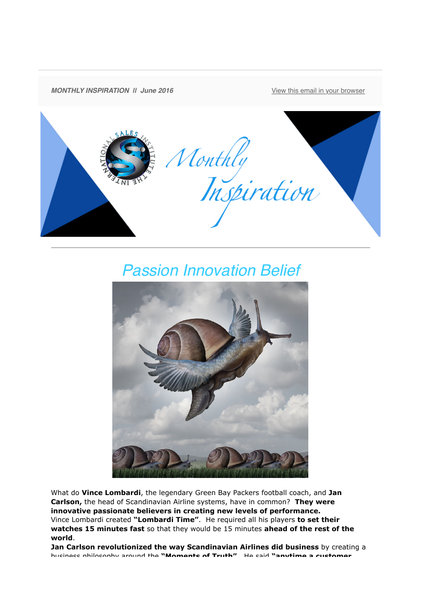

## *Passion Innovation Belief*



What do **Vince Lombardi**, the legendary Green Bay Packers football coach, and **Jan Carlson,** the head of Scandinavian Airline systems, have in common? **They were innovative passionate believers in creating new levels of performance.**  Vince Lombardi created **"Lombardi Time"**. He required all his players **to set their watches 15 minutes fast** so that they would be 15 minutes **ahead of the rest of the world**.

**Jan Carlson revolutionized the way Scandinavian Airlines did business** by creating a business philosophy around the **"Moments of Truth"**. He said **"anytime a customer**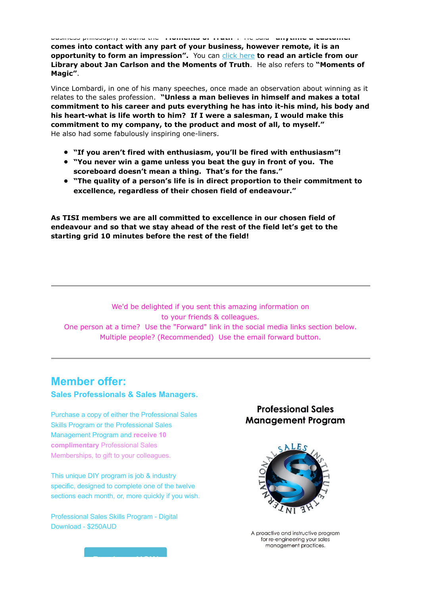business philosophy around the **"Moments of Truth"**. He said **"anytime a customer comes into contact with any part of your business, however remote, it is an opportunity to form an impression".** You can [click here](http://theinternationalsalesinstitute.us11.list-manage.com/track/click?u=933b80e7a2e18bb216f31e81e&id=eee9b81c3f&e=9f87e78b41) **to read an article from our Library about Jan Carlson and the Moments of Truth**. He also refers to **"Moments of Magic"**.

Vince Lombardi, in one of his many speeches, once made an observation about winning as it relates to the sales profession. **"Unless a man believes in himself and makes a total commitment to his career and puts everything he has into it-his mind, his body and his heart-what is life worth to him? If I were a salesman, I would make this commitment to my company, to the product and most of all, to myself."** He also had some fabulously inspiring one-liners.

- **"If you aren't fired with enthusiasm, you'll be fired with enthusiasm"!**
- **"You never win a game unless you beat the guy in front of you. The scoreboard doesn't mean a thing. That's for the fans."**
- **"The quality of a person's life is in direct proportion to their commitment to excellence, regardless of their chosen field of endeavour."**

**As TISI members we are all committed to excellence in our chosen field of endeavour and so that we stay ahead of the rest of the field let's get to the starting grid 10 minutes before the rest of the field!**

We'd be delighted if you sent this amazing information on to your friends & colleagues. One person at a time? Use the "Forward" link in the social media links section below. Multiple people? (Recommended) Use the email forward button.

## **Member offer:**

**Sales Professionals & Sales Managers.**

Purchase a copy of either the Professional Sales Skills Program or the Professional Sales Management Program and **receive 10 complimentary** Professional Sales Memberships, to gift to your colleagues.

This unique DIY program is job & industry specific, designed to complete one of the twelve sections each month, or, more quickly if you wish.

**[Purchase NOW](http://theinternationalsalesinstitute.us11.list-manage.com/track/click?u=933b80e7a2e18bb216f31e81e&id=cfff5af56b&e=9f87e78b41)**

Professional Sales Skills Program - Digital Download - \$250AUD

## **Professional Sales Management Program**



A proactive and instructive program for re-engineering your sales management practices.